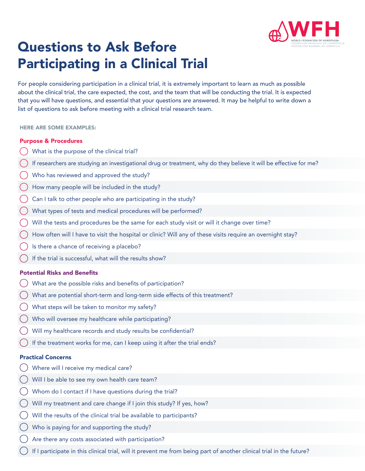

# Questions to Ask Before Participating in a Clinical Trial

For people considering participation in a clinical trial, it is extremely important to learn as much as possible about the clinical trial, the care expected, the cost, and the team that will be conducting the trial. It is expected that you will have questions, and essential that your questions are answered. It may be helpful to write down a list of questions to ask before meeting with a clinical trial research team.

#### HERE ARE SOME EXAMPLES:

#### Purpose & Procedures

- What is the purpose of the clinical trial?
- If researchers are studying an investigational drug or treatment, why do they believe it will be effective for me?
- Who has reviewed and approved the study?
- How many people will be included in the study?
- Can I talk to other people who are participating in the study?
- What types of tests and medical procedures will be performed?
- Will the tests and procedures be the same for each study visit or will it change over time?
- How often will I have to visit the hospital or clinic? Will any of these visits require an overnight stay?
- Is there a chance of receiving a placebo?
- If the trial is successful, what will the results show?

### Potential Risks and Benefits

- What are the possible risks and benefits of participation?
- What are potential short-term and long-term side effects of this treatment?
- What steps will be taken to monitor my safety?
- Who will oversee my healthcare while participating?
- Will my healthcare records and study results be confidential?
- If the treatment works for me, can I keep using it after the trial ends?

### Practical Concerns

- Where will I receive my medical care?
- Will I be able to see my own health care team?
- Whom do I contact if I have questions during the trial?
- Will my treatment and care change if I join this study? If yes, how?
- Will the results of the clinical trial be available to participants?
- Who is paying for and supporting the study?
- Are there any costs associated with participation?
- If I participate in this clinical trial, will it prevent me from being part of another clinical trial in the future?